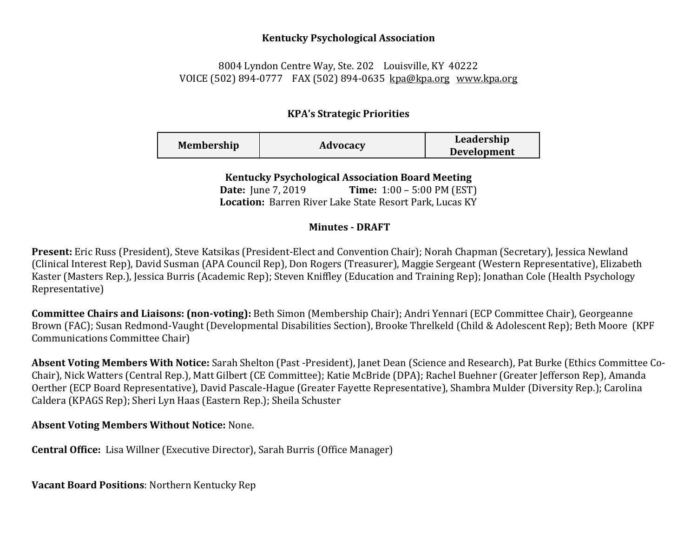## **Kentucky Psychological Association**

## 8004 Lyndon Centre Way, Ste. 202 Louisville, KY 40222 VOICE (502) 894-0777 FAX (502) 894-0635 [kpa@kpa.org](mailto:kpa@kih.net) [www.kpa.org](http://www.kpa.org/)

## **KPA's Strategic Priorities**

| <b>Membership</b> | Advocacy | Leadership<br><b>Development</b> |
|-------------------|----------|----------------------------------|
|                   |          |                                  |

**Kentucky Psychological Association Board Meeting** 

**Date:** June 7, 2019 **Time:** 1:00 – 5:00 PM (EST) **Location:** Barren River Lake State Resort Park, Lucas KY

## **Minutes - DRAFT**

**Present:** Eric Russ (President), Steve Katsikas (President-Elect and Convention Chair); Norah Chapman (Secretary), Jessica Newland (Clinical Interest Rep), David Susman (APA Council Rep), Don Rogers (Treasurer), Maggie Sergeant (Western Representative), Elizabeth Kaster (Masters Rep.), Jessica Burris (Academic Rep); Steven Kniffley (Education and Training Rep); Jonathan Cole (Health Psychology Representative)

**Committee Chairs and Liaisons: (non-voting):** Beth Simon (Membership Chair); Andri Yennari (ECP Committee Chair), Georgeanne Brown (FAC); Susan Redmond-Vaught (Developmental Disabilities Section), Brooke Threlkeld (Child & Adolescent Rep); Beth Moore (KPF Communications Committee Chair)

**Absent Voting Members With Notice:** Sarah Shelton (Past -President), Janet Dean (Science and Research), Pat Burke (Ethics Committee Co-Chair), Nick Watters (Central Rep.), Matt Gilbert (CE Committee); Katie McBride (DPA); Rachel Buehner (Greater Jefferson Rep), Amanda Oerther (ECP Board Representative), David Pascale-Hague (Greater Fayette Representative), Shambra Mulder (Diversity Rep.); Carolina Caldera (KPAGS Rep); Sheri Lyn Haas (Eastern Rep.); Sheila Schuster

**Absent Voting Members Without Notice:** None.

**Central Office:** Lisa Willner (Executive Director), Sarah Burris (Office Manager)

**Vacant Board Positions**: Northern Kentucky Rep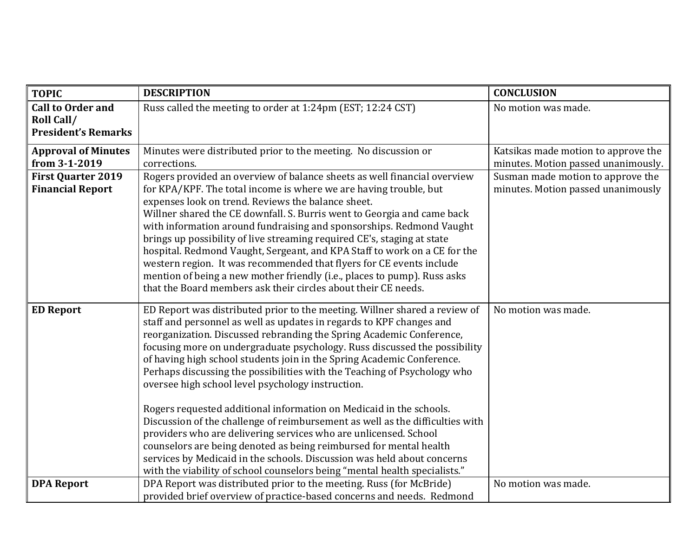| <b>TOPIC</b>                             | <b>DESCRIPTION</b>                                                                                                                                   | <b>CONCLUSION</b>                   |
|------------------------------------------|------------------------------------------------------------------------------------------------------------------------------------------------------|-------------------------------------|
| <b>Call to Order and</b>                 | Russ called the meeting to order at 1:24pm (EST; 12:24 CST)                                                                                          | No motion was made.                 |
| Roll Call/<br><b>President's Remarks</b> |                                                                                                                                                      |                                     |
|                                          |                                                                                                                                                      |                                     |
| <b>Approval of Minutes</b>               | Minutes were distributed prior to the meeting. No discussion or                                                                                      | Katsikas made motion to approve the |
| from 3-1-2019                            | corrections.                                                                                                                                         | minutes. Motion passed unanimously. |
| <b>First Quarter 2019</b>                | Rogers provided an overview of balance sheets as well financial overview                                                                             | Susman made motion to approve the   |
| <b>Financial Report</b>                  | for KPA/KPF. The total income is where we are having trouble, but                                                                                    | minutes. Motion passed unanimously  |
|                                          | expenses look on trend. Reviews the balance sheet.                                                                                                   |                                     |
|                                          | Willner shared the CE downfall. S. Burris went to Georgia and came back                                                                              |                                     |
|                                          | with information around fundraising and sponsorships. Redmond Vaught                                                                                 |                                     |
|                                          | brings up possibility of live streaming required CE's, staging at state                                                                              |                                     |
|                                          | hospital. Redmond Vaught, Sergeant, and KPA Staff to work on a CE for the<br>western region. It was recommended that flyers for CE events include    |                                     |
|                                          | mention of being a new mother friendly (i.e., places to pump). Russ asks                                                                             |                                     |
|                                          | that the Board members ask their circles about their CE needs.                                                                                       |                                     |
|                                          |                                                                                                                                                      |                                     |
| <b>ED Report</b>                         | ED Report was distributed prior to the meeting. Willner shared a review of                                                                           | No motion was made.                 |
|                                          | staff and personnel as well as updates in regards to KPF changes and                                                                                 |                                     |
|                                          | reorganization. Discussed rebranding the Spring Academic Conference,                                                                                 |                                     |
|                                          | focusing more on undergraduate psychology. Russ discussed the possibility                                                                            |                                     |
|                                          | of having high school students join in the Spring Academic Conference.                                                                               |                                     |
|                                          | Perhaps discussing the possibilities with the Teaching of Psychology who                                                                             |                                     |
|                                          | oversee high school level psychology instruction.                                                                                                    |                                     |
|                                          |                                                                                                                                                      |                                     |
|                                          | Rogers requested additional information on Medicaid in the schools.<br>Discussion of the challenge of reimbursement as well as the difficulties with |                                     |
|                                          | providers who are delivering services who are unlicensed. School                                                                                     |                                     |
|                                          | counselors are being denoted as being reimbursed for mental health                                                                                   |                                     |
|                                          | services by Medicaid in the schools. Discussion was held about concerns                                                                              |                                     |
|                                          | with the viability of school counselors being "mental health specialists."                                                                           |                                     |
| <b>DPA Report</b>                        | DPA Report was distributed prior to the meeting. Russ (for McBride)                                                                                  | No motion was made.                 |
|                                          | provided brief overview of practice-based concerns and needs. Redmond                                                                                |                                     |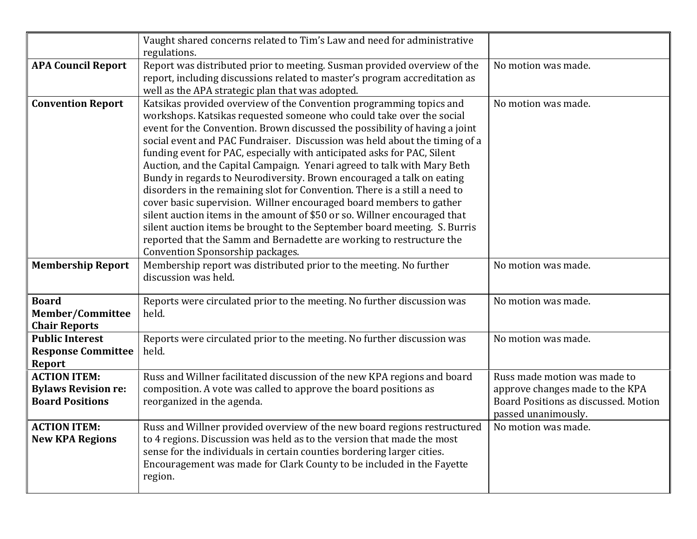|                                                                             | Vaught shared concerns related to Tim's Law and need for administrative<br>regulations.                                                                                                                                                                                                                                                                                                                                                                                                                                                                                                                                                                                                                                                                                                                                                                                                                                                                            |                                                                                                                                |
|-----------------------------------------------------------------------------|--------------------------------------------------------------------------------------------------------------------------------------------------------------------------------------------------------------------------------------------------------------------------------------------------------------------------------------------------------------------------------------------------------------------------------------------------------------------------------------------------------------------------------------------------------------------------------------------------------------------------------------------------------------------------------------------------------------------------------------------------------------------------------------------------------------------------------------------------------------------------------------------------------------------------------------------------------------------|--------------------------------------------------------------------------------------------------------------------------------|
| <b>APA Council Report</b>                                                   | Report was distributed prior to meeting. Susman provided overview of the<br>report, including discussions related to master's program accreditation as<br>well as the APA strategic plan that was adopted.                                                                                                                                                                                                                                                                                                                                                                                                                                                                                                                                                                                                                                                                                                                                                         | No motion was made.                                                                                                            |
| <b>Convention Report</b>                                                    | Katsikas provided overview of the Convention programming topics and<br>workshops. Katsikas requested someone who could take over the social<br>event for the Convention. Brown discussed the possibility of having a joint<br>social event and PAC Fundraiser. Discussion was held about the timing of a<br>funding event for PAC, especially with anticipated asks for PAC, Silent<br>Auction, and the Capital Campaign. Yenari agreed to talk with Mary Beth<br>Bundy in regards to Neurodiversity. Brown encouraged a talk on eating<br>disorders in the remaining slot for Convention. There is a still a need to<br>cover basic supervision. Willner encouraged board members to gather<br>silent auction items in the amount of \$50 or so. Willner encouraged that<br>silent auction items be brought to the September board meeting. S. Burris<br>reported that the Samm and Bernadette are working to restructure the<br>Convention Sponsorship packages. | No motion was made.                                                                                                            |
| <b>Membership Report</b>                                                    | Membership report was distributed prior to the meeting. No further<br>discussion was held.                                                                                                                                                                                                                                                                                                                                                                                                                                                                                                                                                                                                                                                                                                                                                                                                                                                                         | No motion was made.                                                                                                            |
| <b>Board</b><br><b>Member/Committee</b><br><b>Chair Reports</b>             | Reports were circulated prior to the meeting. No further discussion was<br>held.                                                                                                                                                                                                                                                                                                                                                                                                                                                                                                                                                                                                                                                                                                                                                                                                                                                                                   | No motion was made.                                                                                                            |
| <b>Public Interest</b><br><b>Response Committee</b><br><b>Report</b>        | Reports were circulated prior to the meeting. No further discussion was<br>held.                                                                                                                                                                                                                                                                                                                                                                                                                                                                                                                                                                                                                                                                                                                                                                                                                                                                                   | No motion was made.                                                                                                            |
| <b>ACTION ITEM:</b><br><b>Bylaws Revision re:</b><br><b>Board Positions</b> | Russ and Willner facilitated discussion of the new KPA regions and board<br>composition. A vote was called to approve the board positions as<br>reorganized in the agenda.                                                                                                                                                                                                                                                                                                                                                                                                                                                                                                                                                                                                                                                                                                                                                                                         | Russ made motion was made to<br>approve changes made to the KPA<br>Board Positions as discussed. Motion<br>passed unanimously. |
| <b>ACTION ITEM:</b><br><b>New KPA Regions</b>                               | Russ and Willner provided overview of the new board regions restructured<br>to 4 regions. Discussion was held as to the version that made the most<br>sense for the individuals in certain counties bordering larger cities.<br>Encouragement was made for Clark County to be included in the Fayette<br>region.                                                                                                                                                                                                                                                                                                                                                                                                                                                                                                                                                                                                                                                   | No motion was made.                                                                                                            |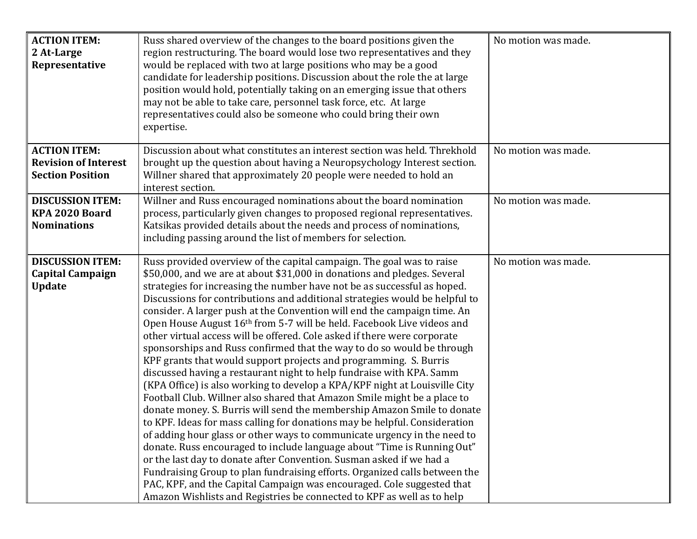| <b>ACTION ITEM:</b><br>2 At-Large<br>Representative                           | Russ shared overview of the changes to the board positions given the<br>region restructuring. The board would lose two representatives and they<br>would be replaced with two at large positions who may be a good<br>candidate for leadership positions. Discussion about the role the at large<br>position would hold, potentially taking on an emerging issue that others<br>may not be able to take care, personnel task force, etc. At large<br>representatives could also be someone who could bring their own<br>expertise.                                                                                                                                                                                                                                                                                                                                                                                                                                                                                                                                                                                                                                                                                                                                                                                                                                                                                                                                                                                                                        | No motion was made. |
|-------------------------------------------------------------------------------|-----------------------------------------------------------------------------------------------------------------------------------------------------------------------------------------------------------------------------------------------------------------------------------------------------------------------------------------------------------------------------------------------------------------------------------------------------------------------------------------------------------------------------------------------------------------------------------------------------------------------------------------------------------------------------------------------------------------------------------------------------------------------------------------------------------------------------------------------------------------------------------------------------------------------------------------------------------------------------------------------------------------------------------------------------------------------------------------------------------------------------------------------------------------------------------------------------------------------------------------------------------------------------------------------------------------------------------------------------------------------------------------------------------------------------------------------------------------------------------------------------------------------------------------------------------|---------------------|
| <b>ACTION ITEM:</b><br><b>Revision of Interest</b><br><b>Section Position</b> | Discussion about what constitutes an interest section was held. Threkhold<br>brought up the question about having a Neuropsychology Interest section.<br>Willner shared that approximately 20 people were needed to hold an<br>interest section.                                                                                                                                                                                                                                                                                                                                                                                                                                                                                                                                                                                                                                                                                                                                                                                                                                                                                                                                                                                                                                                                                                                                                                                                                                                                                                          | No motion was made. |
| <b>DISCUSSION ITEM:</b><br>KPA 2020 Board<br><b>Nominations</b>               | Willner and Russ encouraged nominations about the board nomination<br>process, particularly given changes to proposed regional representatives.<br>Katsikas provided details about the needs and process of nominations,<br>including passing around the list of members for selection.                                                                                                                                                                                                                                                                                                                                                                                                                                                                                                                                                                                                                                                                                                                                                                                                                                                                                                                                                                                                                                                                                                                                                                                                                                                                   | No motion was made. |
| <b>DISCUSSION ITEM:</b><br><b>Capital Campaign</b><br><b>Update</b>           | Russ provided overview of the capital campaign. The goal was to raise<br>\$50,000, and we are at about \$31,000 in donations and pledges. Several<br>strategies for increasing the number have not be as successful as hoped.<br>Discussions for contributions and additional strategies would be helpful to<br>consider. A larger push at the Convention will end the campaign time. An<br>Open House August 16th from 5-7 will be held. Facebook Live videos and<br>other virtual access will be offered. Cole asked if there were corporate<br>sponsorships and Russ confirmed that the way to do so would be through<br>KPF grants that would support projects and programming. S. Burris<br>discussed having a restaurant night to help fundraise with KPA. Samm<br>(KPA Office) is also working to develop a KPA/KPF night at Louisville City<br>Football Club. Willner also shared that Amazon Smile might be a place to<br>donate money. S. Burris will send the membership Amazon Smile to donate<br>to KPF. Ideas for mass calling for donations may be helpful. Consideration<br>of adding hour glass or other ways to communicate urgency in the need to<br>donate. Russ encouraged to include language about "Time is Running Out"<br>or the last day to donate after Convention. Susman asked if we had a<br>Fundraising Group to plan fundraising efforts. Organized calls between the<br>PAC, KPF, and the Capital Campaign was encouraged. Cole suggested that<br>Amazon Wishlists and Registries be connected to KPF as well as to help | No motion was made. |